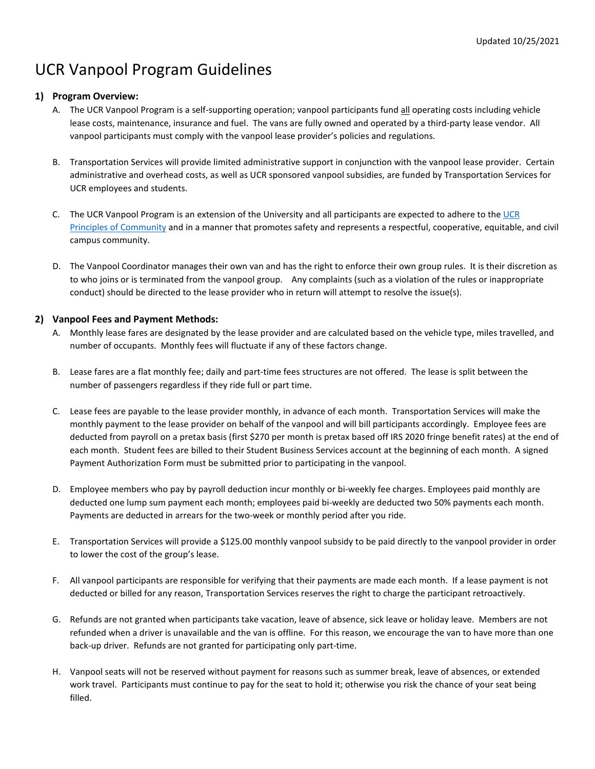# UCR Vanpool Program Guidelines

# **1) Program Overview:**

- A. The UCR Vanpool Program is a self-supporting operation; vanpool participants fund all operating costs including vehicle lease costs, maintenance, insurance and fuel. The vans are fully owned and operated by a third-party lease vendor. All vanpool participants must comply with the vanpool lease provider's policies and regulations.
- B. Transportation Services will provide limited administrative support in conjunction with the vanpool lease provider. Certain administrative and overhead costs, as well as UCR sponsored vanpool subsidies, are funded by Transportation Services for UCR employees and students.
- C. The UCR Vanpool Program is an extension of the University and all participants are expected to adhere to the [UCR](http://chancellor.ucr.edu/documents/community.pdf)  [Principles of Community](http://chancellor.ucr.edu/documents/community.pdf) and in a manner that promotes safety and represents a respectful, cooperative, equitable, and civil campus community.
- D. The Vanpool Coordinator manages their own van and has the right to enforce their own group rules. It is their discretion as to who joins or is terminated from the vanpool group. Any complaints (such as a violation of the rules or inappropriate conduct) should be directed to the lease provider who in return will attempt to resolve the issue(s).

# **2) Vanpool Fees and Payment Methods:**

- A. Monthly lease fares are designated by the lease provider and are calculated based on the vehicle type, miles travelled, and number of occupants. Monthly fees will fluctuate if any of these factors change.
- B. Lease fares are a flat monthly fee; daily and part-time fees structures are not offered. The lease is split between the number of passengers regardless if they ride full or part time.
- C. Lease fees are payable to the lease provider monthly, in advance of each month. Transportation Services will make the monthly payment to the lease provider on behalf of the vanpool and will bill participants accordingly. Employee fees are deducted from payroll on a pretax basis (first \$270 per month is pretax based off IRS 2020 fringe benefit rates) at the end of each month. Student fees are billed to their Student Business Services account at the beginning of each month. A signed Payment Authorization Form must be submitted prior to participating in the vanpool.
- D. Employee members who pay by payroll deduction incur monthly or bi-weekly fee charges. Employees paid monthly are deducted one lump sum payment each month; employees paid bi-weekly are deducted two 50% payments each month. Payments are deducted in arrears for the two-week or monthly period after you ride.
- E. Transportation Services will provide a \$125.00 monthly vanpool subsidy to be paid directly to the vanpool provider in order to lower the cost of the group's lease.
- F. All vanpool participants are responsible for verifying that their payments are made each month. If a lease payment is not deducted or billed for any reason, Transportation Services reserves the right to charge the participant retroactively.
- G. Refunds are not granted when participants take vacation, leave of absence, sick leave or holiday leave. Members are not refunded when a driver is unavailable and the van is offline. For this reason, we encourage the van to have more than one back-up driver. Refunds are not granted for participating only part-time.
- H. Vanpool seats will not be reserved without payment for reasons such as summer break, leave of absences, or extended work travel. Participants must continue to pay for the seat to hold it; otherwise you risk the chance of your seat being filled.